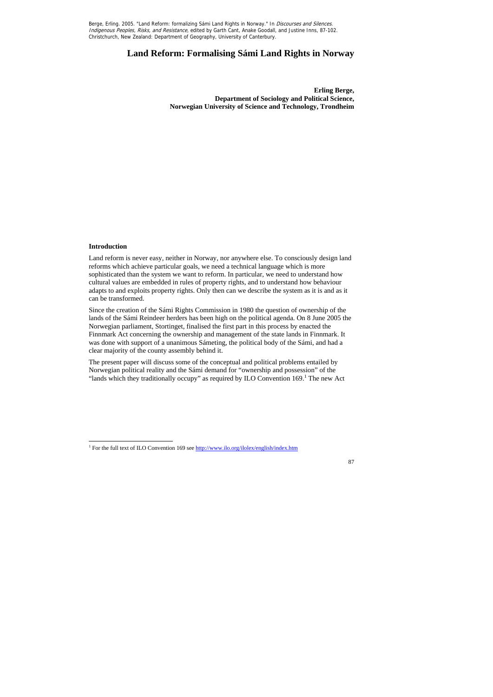# **Land Reform: Formalising Sámi Land Rights in Norway**

**Erling Berge, Department of Sociology and Political Science, Norwegian University of Science and Technology, Trondheim** 

# **Introduction**

 $\overline{a}$ 

Land reform is never easy, neither in Norway, nor anywhere else. To consciously design land reforms which achieve particular goals, we need a technical language which is more sophisticated than the system we want to reform. In particular, we need to understand how cultural values are embedded in rules of property rights, and to understand how behaviour adapts to and exploits property rights. Only then can we describe the system as it is and as it can be transformed.

The present paper will discuss some of the conceptual and political problems entailed by Norwegian political reality and the Sámi demand for "ownership and possession" of the "lands which they traditionally occupy" as required by ILO Convention  $169$ .<sup>1</sup> The new Act

Since the creation of the Sámi Rights Commission in 1980 the question of ownership of the lands of the Sámi Reindeer herders has been high on the political agenda. On 8 June 2005 the Norwegian parliament, Stortinget, finalised the first part in this process by enacted the Finnmark Act concerning the ownership and management of the state lands in Finnmark. It was done with support of a unanimous Sámeting, the political body of the Sámi, and had a clear majority of the county assembly behind it.

<sup>&</sup>lt;sup>1</sup> For the full text of ILO Convention 169 see http://www.ilo.org/ilolex/english/index.htm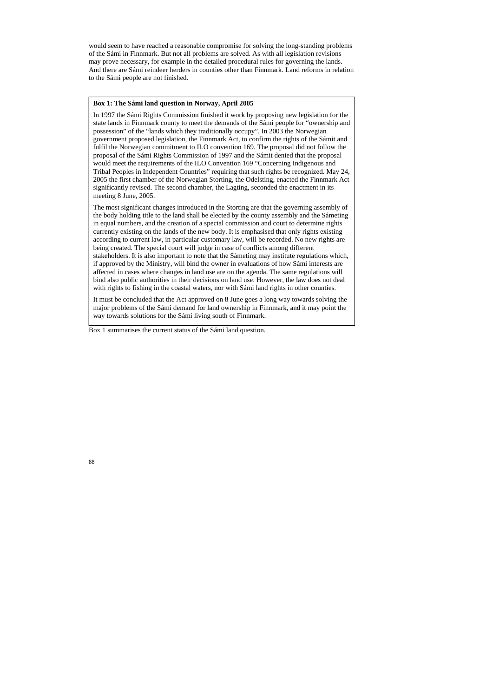would seem to have reached a reasonable compromise for solving the long-standing problems of the Sámi in Finnmark. But not all problems are solved. As with all legislation revisions may prove necessary, for example in the detailed procedural rules for governing the lands. And there are Sámi reindeer herders in counties other than Finnmark. Land reforms in relation to the Sámi people are not finished.

Box 1 summarises the current status of the Sámi land question.

## **Box 1: The Sámi land question in Norway, April 2005**

In 1997 the Sámi Rights Commission finished it work by proposing new legislation for the state lands in Finnmark county to meet the demands of the Sámi people for "ownership and possession" of the "lands which they traditionally occupy". In 2003 the Norwegian government proposed legislation, the Finnmark Act, to confirm the rights of the Sámit and fulfil the Norwegian commitment to ILO convention 169. The proposal did not follow the proposal of the Sámi Rights Commission of 1997 and the Sámit denied that the proposal would meet the requirements of the ILO Convention 169 "Concerning Indigenous and Tribal Peoples in Independent Countries" requiring that such rights be recognized. May 24, 2005 the first chamber of the Norwegian Storting, the Odelsting, enacted the Finnmark Act significantly revised. The second chamber, the Lagting, seconded the enactment in its meeting 8 June, 2005.

The most significant changes introduced in the Storting are that the governing assembly of the body holding title to the land shall be elected by the county assembly and the Sámeting in equal numbers, and the creation of a special commission and court to determine rights currently existing on the lands of the new body. It is emphasised that only rights existing according to current law, in particular customary law, will be recorded. No new rights are being created. The special court will judge in case of conflicts among different stakeholders. It is also important to note that the Sámeting may institute regulations which, if approved by the Ministry, will bind the owner in evaluations of how Sámi interests are affected in cases where changes in land use are on the agenda. The same regulations will bind also public authorities in their decisions on land use. However, the law does not deal with rights to fishing in the coastal waters, nor with Sámi land rights in other counties.

It must be concluded that the Act approved on 8 June goes a long way towards solving the major problems of the Sámi demand for land ownership in Finnmark, and it may point the way towards solutions for the Sámi living south of Finnmark.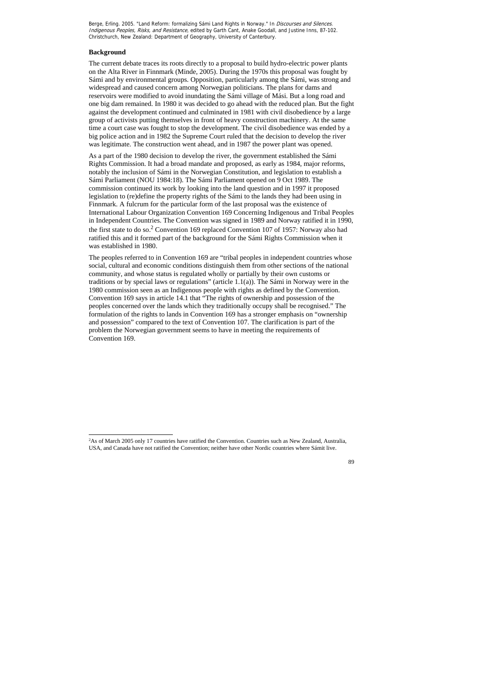### **Background**

 $\overline{a}$ 

The current debate traces its roots directly to a proposal to build hydro-electric power plants on the Alta River in Finnmark (Minde, 2005). During the 1970s this proposal was fought by Sámi and by environmental groups. Opposition, particularly among the Sámi, was strong and widespread and caused concern among Norwegian politicians. The plans for dams and reservoirs were modified to avoid inundating the Sámi village of Mási. But a long road and one big dam remained. In 1980 it was decided to go ahead with the reduced plan. But the fight against the development continued and culminated in 1981 with civil disobedience by a large group of activists putting themselves in front of heavy construction machinery. At the same time a court case was fought to stop the development. The civil disobedience was ended by a big police action and in 1982 the Supreme Court ruled that the decision to develop the river was legitimate. The construction went ahead, and in 1987 the power plant was opened.

As a part of the 1980 decision to develop the river, the government established the Sámi Rights Commission. It had a broad mandate and proposed, as early as 1984, major reforms, notably the inclusion of Sámi in the Norwegian Constitution, and legislation to establish a Sámi Parliament (NOU 1984:18). The Sámi Parliament opened on 9 Oct 1989. The commission continued its work by looking into the land question and in 1997 it proposed legislation to (re)define the property rights of the Sámi to the lands they had been using in Finnmark. A fulcrum for the particular form of the last proposal was the existence of International Labour Organization Convention 169 Concerning Indigenous and Tribal Peoples in Independent Countries. The Convention was signed in 1989 and Norway ratified it in 1990, the first state to do so.<sup>2</sup> Convention 169 replaced Convention 107 of 1957: Norway also had ratified this and it formed part of the background for the Sámi Rights Commission when it was established in 1980.

The peoples referred to in Convention 169 are "tribal peoples in independent countries whose social, cultural and economic conditions distinguish them from other sections of the national community, and whose status is regulated wholly or partially by their own customs or traditions or by special laws or regulations" (article 1.1(a)). The Sámi in Norway were in the 1980 commission seen as an Indigenous people with rights as defined by the Convention. Convention 169 says in article 14.1 that "The rights of ownership and possession of the peoples concerned over the lands which they traditionally occupy shall be recognised." The formulation of the rights to lands in Convention 169 has a stronger emphasis on "ownership and possession" compared to the text of Convention 107. The clarification is part of the problem the Norwegian government seems to have in meeting the requirements of Convention 169.

<sup>2</sup> As of March 2005 only 17 countries have ratified the Convention. Countries such as New Zealand, Australia, USA, and Canada have not ratified the Convention; neither have other Nordic countries where Sámit live.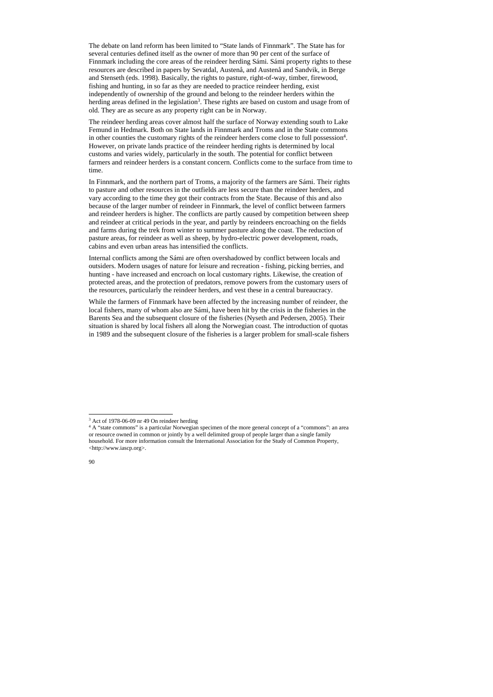$\overline{a}$ 

The debate on land reform has been limited to "State lands of Finnmark". The State has for several centuries defined itself as the owner of more than 90 per cent of the surface of Finnmark including the core areas of the reindeer herding Sámi. Sámi property rights to these resources are described in papers by Sevatdal, Austenå, and Austenå and Sandvik, in Berge and Stenseth (eds. 1998). Basically, the rights to pasture, right-of-way, timber, firewood, fishing and hunting, in so far as they are needed to practice reindeer herding, exist independently of ownership of the ground and belong to the reindeer herders within the herding areas defined in the legislation<sup>3</sup>. These rights are based on custom and usage from of old. They are as secure as any property right can be in Norway.

The reindeer herding areas cover almost half the surface of Norway extending south to Lake Femund in Hedmark. Both on State lands in Finnmark and Troms and in the State commons in other counties the customary rights of the reindeer herders come close to full possession<sup>4</sup>. However, on private lands practice of the reindeer herding rights is determined by local customs and varies widely, particularly in the south. The potential for conflict between farmers and reindeer herders is a constant concern. Conflicts come to the surface from time to time.

In Finnmark, and the northern part of Troms, a majority of the farmers are Sámi. Their rights to pasture and other resources in the outfields are less secure than the reindeer herders, and vary according to the time they got their contracts from the State. Because of this and also because of the larger number of reindeer in Finnmark, the level of conflict between farmers and reindeer herders is higher. The conflicts are partly caused by competition between sheep and reindeer at critical periods in the year, and partly by reindeers encroaching on the fields and farms during the trek from winter to summer pasture along the coast. The reduction of pasture areas, for reindeer as well as sheep, by hydro-electric power development, roads, cabins and even urban areas has intensified the conflicts.

Internal conflicts among the Sámi are often overshadowed by conflict between locals and outsiders. Modern usages of nature for leisure and recreation - fishing, picking berries, and hunting - have increased and encroach on local customary rights. Likewise, the creation of protected areas, and the protection of predators, remove powers from the customary users of the resources, particularly the reindeer herders, and vest these in a central bureaucracy.

While the farmers of Finnmark have been affected by the increasing number of reindeer, the local fishers, many of whom also are Sámi, have been hit by the crisis in the fisheries in the Barents Sea and the subsequent closure of the fisheries (Nyseth and Pedersen, 2005). Their situation is shared by local fishers all along the Norwegian coast. The introduction of quotas in 1989 and the subsequent closure of the fisheries is a larger problem for small-scale fishers

<sup>&</sup>lt;sup>4</sup> A "state commons" is a particular Norwegian specimen of the more general concept of a "commons": an area or resource owned in common or jointly by a well delimited group of people larger than a single family household. For more information consult the International Association for the Study of Common Property, <http://www.iascp.org>.

<sup>&</sup>lt;sup>3</sup> Act of 1978-06-09 nr 49 On reindeer herding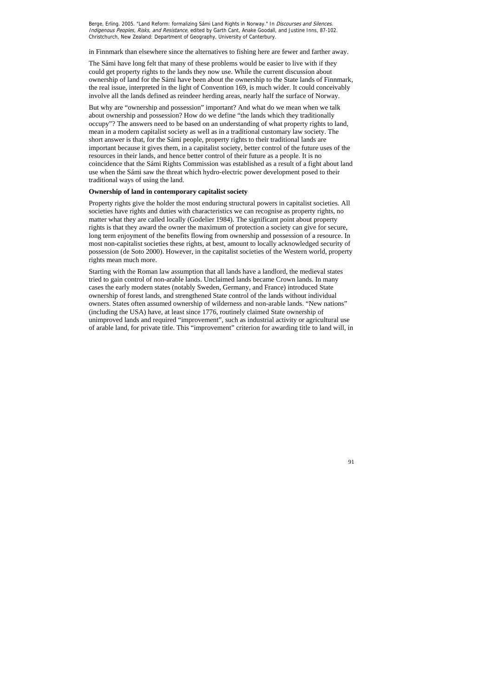in Finnmark than elsewhere since the alternatives to fishing here are fewer and farther away.

The Sámi have long felt that many of these problems would be easier to live with if they could get property rights to the lands they now use. While the current discussion about ownership of land for the Sámi have been about the ownership to the State lands of Finnmark, the real issue, interpreted in the light of Convention 169, is much wider. It could conceivably involve all the lands defined as reindeer herding areas, nearly half the surface of Norway.

But why are "ownership and possession" important? And what do we mean when we talk about ownership and possession? How do we define "the lands which they traditionally occupy"? The answers need to be based on an understanding of what property rights to land, mean in a modern capitalist society as well as in a traditional customary law society. The short answer is that, for the Sámi people, property rights to their traditional lands are important because it gives them, in a capitalist society, better control of the future uses of the resources in their lands, and hence better control of their future as a people. It is no coincidence that the Sámi Rights Commission was established as a result of a fight about land use when the Sámi saw the threat which hydro-electric power development posed to their traditional ways of using the land.

#### **Ownership of land in contemporary capitalist society**

Property rights give the holder the most enduring structural powers in capitalist societies. All societies have rights and duties with characteristics we can recognise as property rights, no matter what they are called locally (Godelier 1984). The significant point about property rights is that they award the owner the maximum of protection a society can give for secure, long term enjoyment of the benefits flowing from ownership and possession of a resource. In most non-capitalist societies these rights, at best, amount to locally acknowledged security of possession (de Soto 2000). However, in the capitalist societies of the Western world, property rights mean much more.

Starting with the Roman law assumption that all lands have a landlord, the medieval states tried to gain control of non-arable lands. Unclaimed lands became Crown lands. In many cases the early modern states (notably Sweden, Germany, and France) introduced State ownership of forest lands, and strengthened State control of the lands without individual owners. States often assumed ownership of wilderness and non-arable lands. "New nations" (including the USA) have, at least since 1776, routinely claimed State ownership of unimproved lands and required "improvement", such as industrial activity or agricultural use of arable land, for private title. This "improvement" criterion for awarding title to land will, in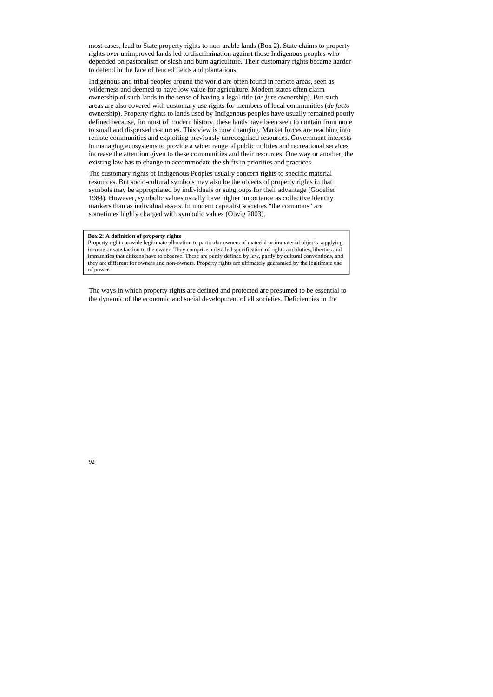most cases, lead to State property rights to non-arable lands (Box 2). State claims to property rights over unimproved lands led to discrimination against those Indigenous peoples who depended on pastoralism or slash and burn agriculture. Their customary rights became harder to defend in the face of fenced fields and plantations.

Indigenous and tribal peoples around the world are often found in remote areas, seen as wilderness and deemed to have low value for agriculture. Modern states often claim ownership of such lands in the sense of having a legal title (*de jure* ownership). But such areas are also covered with customary use rights for members of local communities (*de facto* ownership). Property rights to lands used by Indigenous peoples have usually remained poorly defined because, for most of modern history, these lands have been seen to contain from none to small and dispersed resources. This view is now changing. Market forces are reaching into remote communities and exploiting previously unrecognised resources. Government interests in managing ecosystems to provide a wider range of public utilities and recreational services increase the attention given to these communities and their resources. One way or another, the existing law has to change to accommodate the shifts in priorities and practices.

The customary rights of Indigenous Peoples usually concern rights to specific material resources. But socio-cultural symbols may also be the objects of property rights in that symbols may be appropriated by individuals or subgroups for their advantage (Godelier 1984). However, symbolic values usually have higher importance as collective identity markers than as individual assets. In modern capitalist societies "the commons" are sometimes highly charged with symbolic values (Olwig 2003).

The ways in which property rights are defined and protected are presumed to be essential to the dynamic of the economic and social development of all societies. Deficiencies in the

#### **Box 2: A definition of property rights**

Property rights provide legitimate allocation to particular owners of material or immaterial objects supplying income or satisfaction to the owner. They comprise a detailed specification of rights and duties, liberties and immunities that citizens have to observe. These are partly defined by law, partly by cultural conventions, and they are different for owners and non-owners. Property rights are ultimately guarantied by the legitimate use of power.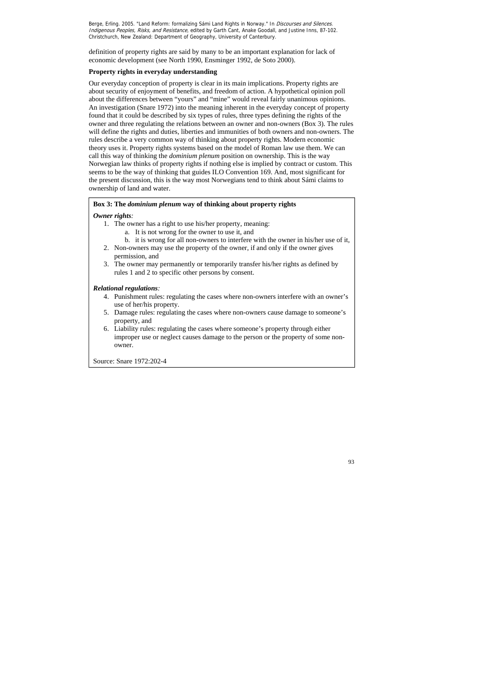definition of property rights are said by many to be an important explanation for lack of economic development (see North 1990, Ensminger 1992, de Soto 2000).

# **Property rights in everyday understanding**

Our everyday conception of property is clear in its main implications. Property rights are about security of enjoyment of benefits, and freedom of action. A hypothetical opinion poll about the differences between "yours" and "mine" would reveal fairly unanimous opinions. An investigation (Snare 1972) into the meaning inherent in the everyday concept of property found that it could be described by six types of rules, three types defining the rights of the owner and three regulating the relations between an owner and non-owners (Box 3). The rules will define the rights and duties, liberties and immunities of both owners and non-owners. The rules describe a very common way of thinking about property rights. Modern economic theory uses it. Property rights systems based on the model of Roman law use them. We can call this way of thinking the *dominium plenum* position on ownership. This is the way Norwegian law thinks of property rights if nothing else is implied by contract or custom. This seems to be the way of thinking that guides ILO Convention 169. And, most significant for the present discussion, this is the way most Norwegians tend to think about Sámi claims to ownership of land and water.

# **Box 3: The** *dominium plenum* **way of thinking about property rights**

# *Owner rights:*

- 1. The owner has a right to use his/her property, meaning:
	- a. It is not wrong for the owner to use it, and
	- b. it is wrong for all non-owners to interfere with the owner in his/her use of it,
- 2. Non-owners may use the property of the owner, if and only if the owner gives permission, and
- 3. The owner may permanently or temporarily transfer his/her rights as defined by rules 1 and 2 to specific other persons by consent.

# *Relational regulations:*

- 4. Punishment rules: regulating the cases where non-owners interfere with an owner's use of her/his property.
- 5. Damage rules: regulating the cases where non-owners cause damage to someone's property, and
- 6. Liability rules: regulating the cases where someone's property through either improper use or neglect causes damage to the person or the property of some nonowner.

Source: Snare 1972:202-4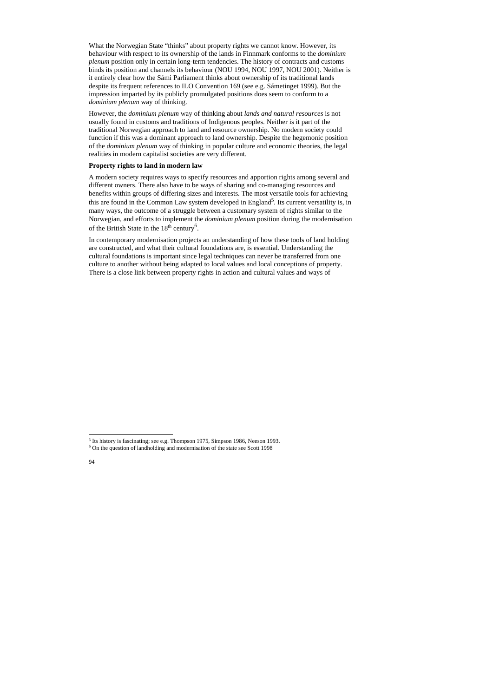$\overline{a}$ 

What the Norwegian State "thinks" about property rights we cannot know. However, its behaviour with respect to its ownership of the lands in Finnmark conforms to the *dominium plenum* position only in certain long-term tendencies. The history of contracts and customs binds its position and channels its behaviour (NOU 1994, NOU 1997, NOU 2001). Neither is it entirely clear how the Sámi Parliament thinks about ownership of its traditional lands despite its frequent references to ILO Convention 169 (see e.g. Sámetinget 1999). But the impression imparted by its publicly promulgated positions does seem to conform to a *dominium plenum* way of thinking.

A modern society requires ways to specify resources and apportion rights among several and different owners. There also have to be ways of sharing and co-managing resources and benefits within groups of differing sizes and interests. The most versatile tools for achieving this are found in the Common Law system developed in England<sup>5</sup>. Its current versatility is, in many ways, the outcome of a struggle between a customary system of rights similar to the Norwegian, and efforts to implement the *dominium plenum* position during the modernisation of the British State in the  $18<sup>th</sup>$  century<sup>6</sup>.

However, the *dominium plenum* way of thinking about *lands and natural resources* is not usually found in customs and traditions of Indigenous peoples. Neither is it part of the traditional Norwegian approach to land and resource ownership. No modern society could function if this was a dominant approach to land ownership. Despite the hegemonic position of the *dominium plenum* way of thinking in popular culture and economic theories, the legal realities in modern capitalist societies are very different.

### **Property rights to land in modern law**

In contemporary modernisation projects an understanding of how these tools of land holding are constructed, and what their cultural foundations are, is essential. Understanding the cultural foundations is important since legal techniques can never be transferred from one culture to another without being adapted to local values and local conceptions of property. There is a close link between property rights in action and cultural values and ways of

<sup>&</sup>lt;sup>5</sup> Its history is fascinating; see e.g. Thompson 1975, Simpson 1986, Neeson 1993.

<sup>6</sup> On the question of landholding and modernisation of the state see Scott 1998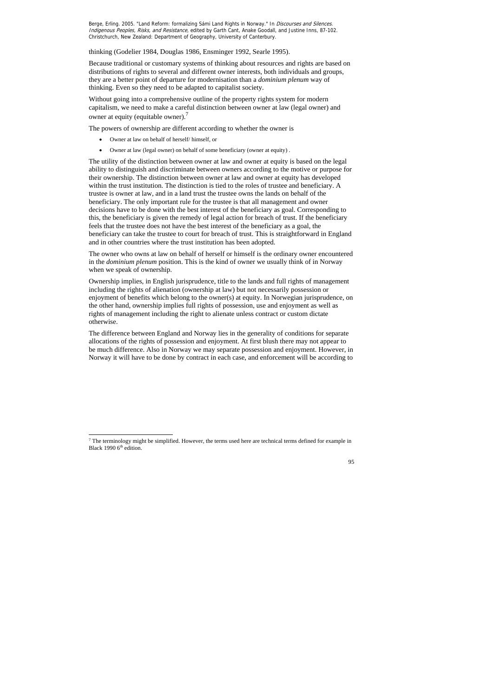thinking (Godelier 1984, Douglas 1986, Ensminger 1992, Searle 1995).

Without going into a comprehensive outline of the property rights system for modern capitalism, we need to make a careful distinction between owner at law (legal owner) and owner at equity (equitable owner).<sup>7</sup>

Because traditional or customary systems of thinking about resources and rights are based on distributions of rights to several and different owner interests, both individuals and groups, they are a better point of departure for modernisation than a *dominium plenum* way of thinking. Even so they need to be adapted to capitalist society.

The powers of ownership are different according to whether the owner is

Owner at law on behalf of herself/ himself, or

 $\overline{a}$ 

Owner at law (legal owner) on behalf of some beneficiary (owner at equity) .

The utility of the distinction between owner at law and owner at equity is based on the legal ability to distinguish and discriminate between owners according to the motive or purpose for their ownership. The distinction between owner at law and owner at equity has developed within the trust institution. The distinction is tied to the roles of trustee and beneficiary. A trustee is owner at law, and in a land trust the trustee owns the lands on behalf of the beneficiary. The only important rule for the trustee is that all management and owner decisions have to be done with the best interest of the beneficiary as goal. Corresponding to this, the beneficiary is given the remedy of legal action for breach of trust. If the beneficiary feels that the trustee does not have the best interest of the beneficiary as a goal, the beneficiary can take the trustee to court for breach of trust. This is straightforward in England and in other countries where the trust institution has been adopted.

The owner who owns at law on behalf of herself or himself is the ordinary owner encountered in the *dominium plenum* position. This is the kind of owner we usually think of in Norway when we speak of ownership.

Ownership implies, in English jurisprudence, title to the lands and full rights of management including the rights of alienation (ownership at law) but not necessarily possession or enjoyment of benefits which belong to the owner(s) at equity. In Norwegian jurisprudence, on the other hand, ownership implies full rights of possession, use and enjoyment as well as rights of management including the right to alienate unless contract or custom dictate otherwise.

The difference between England and Norway lies in the generality of conditions for separate allocations of the rights of possession and enjoyment. At first blush there may not appear to be much difference. Also in Norway we may separate possession and enjoyment. However, in Norway it will have to be done by contract in each case, and enforcement will be according to

 $<sup>7</sup>$  The terminology might be simplified. However, the terms used here are technical terms defined for example in</sup> Black 1990 6<sup>th</sup> edition.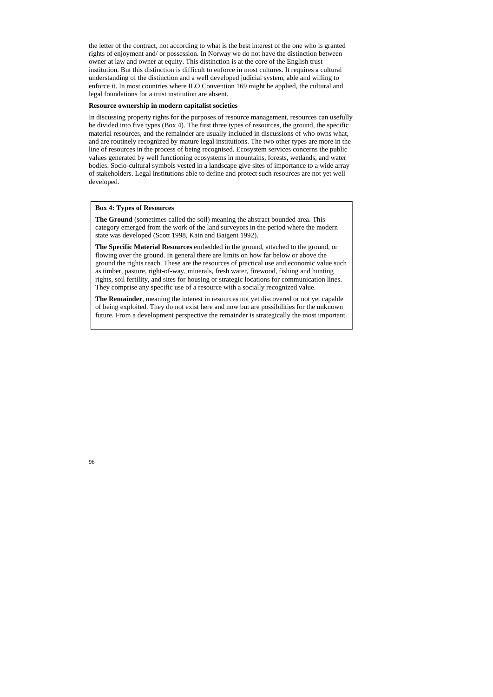the letter of the contract, not according to what is the best interest of the one who is granted rights of enjoyment and/ or possession. In Norway we do not have the distinction between owner at law and owner at equity. This distinction is at the core of the English trust institution. But this distinction is difficult to enforce in most cultures. It requires a cultural understanding of the distinction and a well developed judicial system, able and willing to enforce it. In most countries where ILO Convention 169 might be applied, the cultural and legal foundations for a trust institution are absent.

### **Resource ownership in modern capitalist societies**

In discussing property rights for the purposes of resource management, resources can usefully be divided into five types (Box 4). The first three types of resources, the ground, the specific material resources, and the remainder are usually included in discussions of who owns what, and are routinely recognized by mature legal institutions. The two other types are more in the line of resources in the process of being recognised. Ecosystem services concerns the public values generated by well functioning ecosystems in mountains, forests, wetlands, and water bodies. Socio-cultural symbols vested in a landscape give sites of importance to a wide array of stakeholders. Legal institutions able to define and protect such resources are not yet well developed.

### **Box 4: Types of Resources**

**The Ground** (sometimes called the soil) meaning the abstract bounded area. This category emerged from the work of the land surveyors in the period where the modern state was developed (Scott 1998, Kain and Baigent 1992).

**The Specific Material Resources** embedded in the ground, attached to the ground, or flowing over the ground. In general there are limits on how far below or above the ground the rights reach. These are the resources of practical use and economic value such as timber, pasture, right-of-way, minerals, fresh water, firewood, fishing and hunting rights, soil fertility, and sites for housing or strategic locations for communication lines. They comprise any specific use of a resource with a socially recognized value.

**The Remainder**, meaning the interest in resources not yet discovered or not yet capable of being exploited. They do not exist here and now but are possibilities for the unknown future. From a development perspective the remainder is strategically the most important.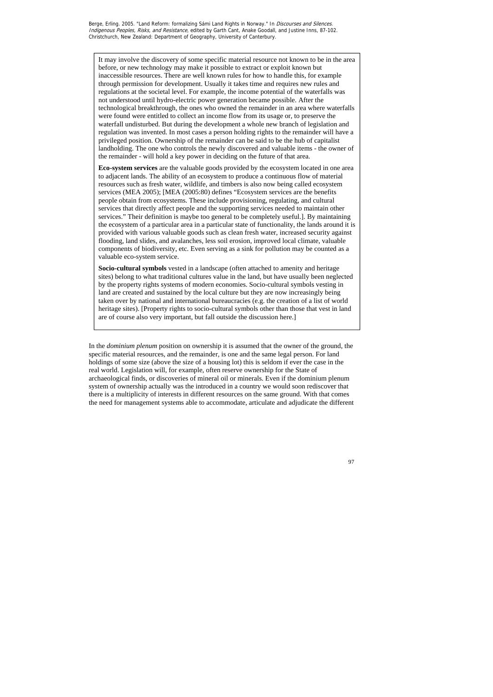In the *dominium plenum* position on ownership it is assumed that the owner of the ground, the specific material resources, and the remainder, is one and the same legal person. For land holdings of some size (above the size of a housing lot) this is seldom if ever the case in the real world. Legislation will, for example, often reserve ownership for the State of archaeological finds, or discoveries of mineral oil or minerals. Even if the dominium plenum system of ownership actually was the introduced in a country we would soon rediscover that there is a multiplicity of interests in different resources on the same ground. With that comes the need for management systems able to accommodate, articulate and adjudicate the different

It may involve the discovery of some specific material resource not known to be in the area before, or new technology may make it possible to extract or exploit known but inaccessible resources. There are well known rules for how to handle this, for example through permission for development. Usually it takes time and requires new rules and regulations at the societal level. For example, the income potential of the waterfalls was not understood until hydro-electric power generation became possible. After the technological breakthrough, the ones who owned the remainder in an area where waterfalls were found were entitled to collect an income flow from its usage or, to preserve the waterfall undisturbed. But during the development a whole new branch of legislation and regulation was invented. In most cases a person holding rights to the remainder will have a privileged position. Ownership of the remainder can be said to be the hub of capitalist landholding. The one who controls the newly discovered and valuable items - the owner of the remainder - will hold a key power in deciding on the future of that area.

**Eco-system services** are the valuable goods provided by the ecosystem located in one area to adjacent lands. The ability of an ecosystem to produce a continuous flow of material resources such as fresh water, wildlife, and timbers is also now being called ecosystem services (MEA 2005); [MEA (2005:80) defines "Ecosystem services are the benefits people obtain from ecosystems. These include provisioning, regulating, and cultural services that directly affect people and the supporting services needed to maintain other services." Their definition is maybe too general to be completely useful.]. By maintaining the ecosystem of a particular area in a particular state of functionality, the lands around it is provided with various valuable goods such as clean fresh water, increased security against flooding, land slides, and avalanches, less soil erosion, improved local climate, valuable components of biodiversity, etc. Even serving as a sink for pollution may be counted as a valuable eco-system service.

**Socio-cultural symbols** vested in a landscape (often attached to amenity and heritage sites) belong to what traditional cultures value in the land, but have usually been neglected by the property rights systems of modern economies. Socio-cultural symbols vesting in land are created and sustained by the local culture but they are now increasingly being taken over by national and international bureaucracies (e.g. the creation of a list of world heritage sites). [Property rights to socio-cultural symbols other than those that vest in land are of course also very important, but fall outside the discussion here.]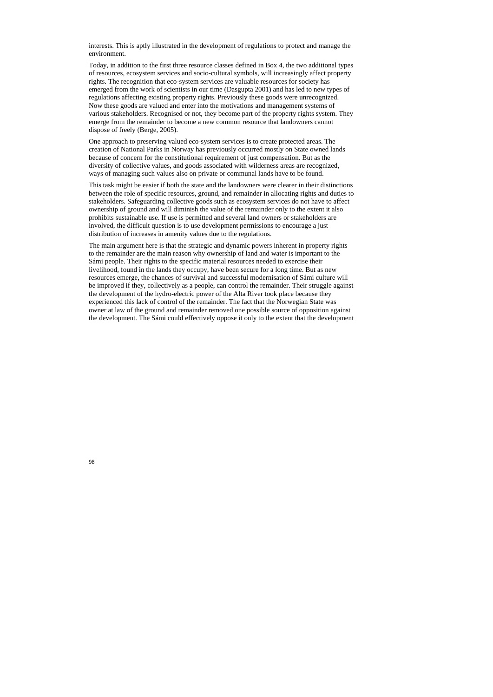interests. This is aptly illustrated in the development of regulations to protect and manage the environment.

Today, in addition to the first three resource classes defined in Box 4, the two additional types of resources, ecosystem services and socio-cultural symbols, will increasingly affect property rights. The recognition that eco-system services are valuable resources for society has emerged from the work of scientists in our time (Dasgupta 2001) and has led to new types of regulations affecting existing property rights. Previously these goods were unrecognized. Now these goods are valued and enter into the motivations and management systems of various stakeholders. Recognised or not, they become part of the property rights system. They emerge from the remainder to become a new common resource that landowners cannot dispose of freely (Berge, 2005).

One approach to preserving valued eco-system services is to create protected areas. The creation of National Parks in Norway has previously occurred mostly on State owned lands because of concern for the constitutional requirement of just compensation. But as the diversity of collective values, and goods associated with wilderness areas are recognized, ways of managing such values also on private or communal lands have to be found.

This task might be easier if both the state and the landowners were clearer in their distinctions between the role of specific resources, ground, and remainder in allocating rights and duties to stakeholders. Safeguarding collective goods such as ecosystem services do not have to affect ownership of ground and will diminish the value of the remainder only to the extent it also prohibits sustainable use. If use is permitted and several land owners or stakeholders are involved, the difficult question is to use development permissions to encourage a just distribution of increases in amenity values due to the regulations.

The main argument here is that the strategic and dynamic powers inherent in property rights to the remainder are the main reason why ownership of land and water is important to the Sámi people. Their rights to the specific material resources needed to exercise their livelihood, found in the lands they occupy, have been secure for a long time. But as new resources emerge, the chances of survival and successful modernisation of Sámi culture will be improved if they, collectively as a people, can control the remainder. Their struggle against the development of the hydro-electric power of the Alta River took place because they experienced this lack of control of the remainder. The fact that the Norwegian State was owner at law of the ground and remainder removed one possible source of opposition against the development. The Sámi could effectively oppose it only to the extent that the development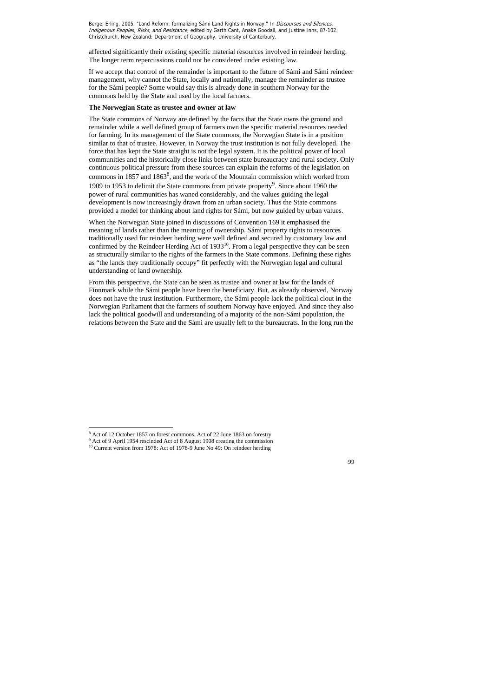affected significantly their existing specific material resources involved in reindeer herding. The longer term repercussions could not be considered under existing law.

If we accept that control of the remainder is important to the future of Sámi and Sámi reindeer management, why cannot the State, locally and nationally, manage the remainder as trustee for the Sámi people? Some would say this is already done in southern Norway for the commons held by the State and used by the local farmers.

### **The Norwegian State as trustee and owner at law**

The State commons of Norway are defined by the facts that the State owns the ground and remainder while a well defined group of farmers own the specific material resources needed for farming. In its management of the State commons, the Norwegian State is in a position similar to that of trustee. However, in Norway the trust institution is not fully developed. The force that has kept the State straight is not the legal system. It is the political power of local communities and the historically close links between state bureaucracy and rural society. Only continuous political pressure from these sources can explain the reforms of the legislation on commons in 1857 and 1863<sup>8</sup>, and the work of the Mountain commission which worked from 1909 to 1953 to delimit the State commons from private property<sup>9</sup>. Since about 1960 the power of rural communities has waned considerably, and the values guiding the legal development is now increasingly drawn from an urban society. Thus the State commons provided a model for thinking about land rights for Sámi, but now guided by urban values.

When the Norwegian State joined in discussions of Convention 169 it emphasised the meaning of lands rather than the meaning of ownership. Sámi property rights to resources traditionally used for reindeer herding were well defined and secured by customary law and confirmed by the Reindeer Herding Act of  $1933^{10}$ . From a legal perspective they can be seen as structurally similar to the rights of the farmers in the State commons. Defining these rights as "the lands they traditionally occupy" fit perfectly with the Norwegian legal and cultural understanding of land ownership.

From this perspective, the State can be seen as trustee and owner at law for the lands of Finnmark while the Sámi people have been the beneficiary. But, as already observed, Norway does not have the trust institution. Furthermore, the Sámi people lack the political clout in the Norwegian Parliament that the farmers of southern Norway have enjoyed. And since they also lack the political goodwill and understanding of a majority of the non-Sámi population, the relations between the State and the Sámi are usually left to the bureaucrats. In the long run the

 $\overline{a}$ 

<sup>&</sup>lt;sup>8</sup> Act of 12 October 1857 on forest commons, Act of 22 June 1863 on forestry

<sup>&</sup>lt;sup>9</sup> Act of 9 April 1954 rescinded Act of 8 August 1908 creating the commission

<sup>&</sup>lt;sup>10</sup> Current version from 1978: Act of 1978-9 June No 49: On reindeer herding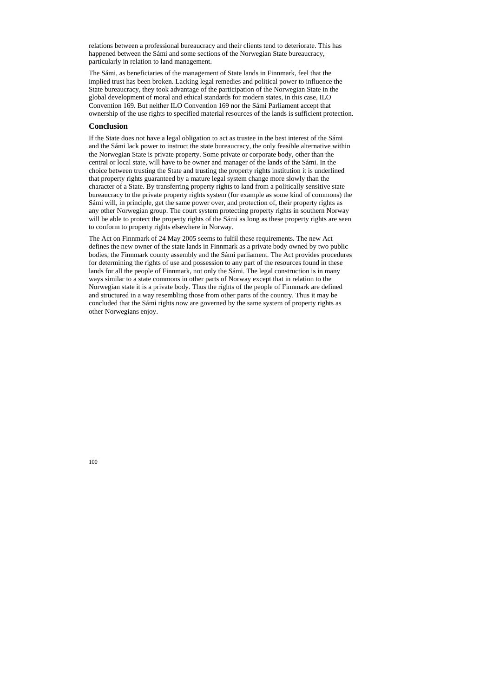relations between a professional bureaucracy and their clients tend to deteriorate. This has happened between the Sámi and some sections of the Norwegian State bureaucracy, particularly in relation to land management.

The Sámi, as beneficiaries of the management of State lands in Finnmark, feel that the implied trust has been broken. Lacking legal remedies and political power to influence the State bureaucracy, they took advantage of the participation of the Norwegian State in the global development of moral and ethical standards for modern states, in this case, ILO Convention 169. But neither ILO Convention 169 nor the Sámi Parliament accept that ownership of the use rights to specified material resources of the lands is sufficient protection.

# **Conclusion**

If the State does not have a legal obligation to act as trustee in the best interest of the Sámi and the Sámi lack power to instruct the state bureaucracy, the only feasible alternative within the Norwegian State is private property. Some private or corporate body, other than the central or local state, will have to be owner and manager of the lands of the Sámi. In the choice between trusting the State and trusting the property rights institution it is underlined that property rights guaranteed by a mature legal system change more slowly than the character of a State. By transferring property rights to land from a politically sensitive state bureaucracy to the private property rights system (for example as some kind of commons) the Sámi will, in principle, get the same power over, and protection of, their property rights as any other Norwegian group. The court system protecting property rights in southern Norway will be able to protect the property rights of the Sámi as long as these property rights are seen to conform to property rights elsewhere in Norway.

The Act on Finnmark of 24 May 2005 seems to fulfil these requirements. The new Act defines the new owner of the state lands in Finnmark as a private body owned by two public bodies, the Finnmark county assembly and the Sámi parliament. The Act provides procedures for determining the rights of use and possession to any part of the resources found in these lands for all the people of Finnmark, not only the Sámi. The legal construction is in many ways similar to a state commons in other parts of Norway except that in relation to the Norwegian state it is a private body. Thus the rights of the people of Finnmark are defined and structured in a way resembling those from other parts of the country. Thus it may be concluded that the Sámi rights now are governed by the same system of property rights as other Norwegians enjoy.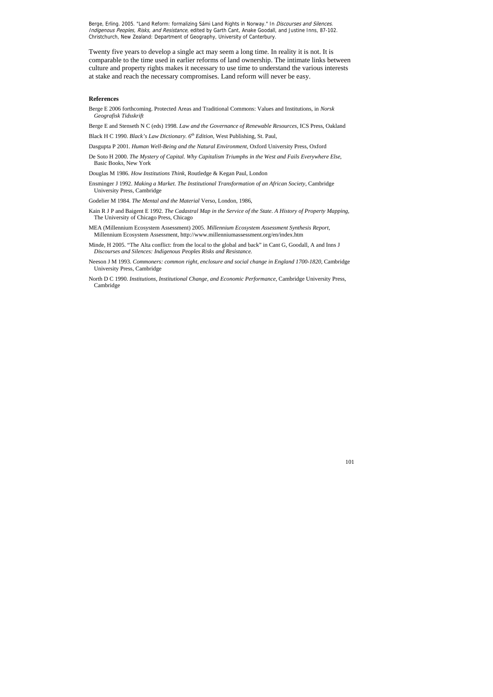Twenty five years to develop a single act may seem a long time. In reality it is not. It is comparable to the time used in earlier reforms of land ownership. The intimate links between culture and property rights makes it necessary to use time to understand the various interests at stake and reach the necessary compromises. Land reform will never be easy.

#### **References**

- Berge E 2006 forthcoming. Protected Areas and Traditional Commons: Values and Institutions, in *Norsk Geografisk Tidsskrift*
- Berge E and Stenseth N C (eds) 1998. *Law and the Governance of Renewable Resources*, ICS Press, Oakland
- Black H C 1990. *Black's Law Dictionary. 6th Edition,* West Publishing, St. Paul,
- Dasgupta P 2001. *Human Well-Being and the Natural Environment,* Oxford University Press, Oxford
- De Soto H 2000. *The Mystery of Capital. Why Capitalism Triumphs in the West and Fails Everywhere Else*, Basic Books, New York
- Douglas M 1986. *How Institutions Think,* Routledge & Kegan Paul, London
- Ensminger J 1992. *Making a Market. The Institutional Transformation of an African Society*, Cambridge University Press, Cambridge
- Godelier M 1984. *The Mental and the Material* Verso, London, 1986,
- Kain R J P and Baigent E 1992. *The Cadastral Map in the Service of the State. A History of Property Mapping,* The University of Chicago Press, Chicago
- MEA (Millennium Ecosystem Assessment) 2005. *Millennium Ecosystem Assessment Synthesis Report*, Millennium Ecosystem Assessment, http://www.millenniumassessment.org/en/index.htm
- Minde, H 2005. "The Alta conflict: from the local to the global and back" in Cant G, Goodall, A and Inns J *Discourses and Silences: Indigenous Peoples Risks and Resistance.*
- Neeson J M 1993. *Commoners: common right, enclosure and social change in England 1700-1820*, Cambridge University Press, Cambridge
- North D C 1990. *Institutions, Institutional Change, and Economic Performance*, Cambridge University Press, Cambridge